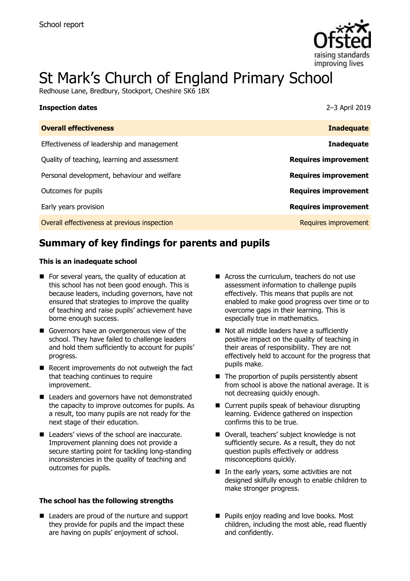

# St Mark's Church of England Primary School

Redhouse Lane, Bredbury, Stockport, Cheshire SK6 1BX

| <b>Inspection dates</b>                      | 2-3 April 2019              |
|----------------------------------------------|-----------------------------|
| <b>Overall effectiveness</b>                 | <b>Inadequate</b>           |
| Effectiveness of leadership and management   | <b>Inadequate</b>           |
| Quality of teaching, learning and assessment | <b>Requires improvement</b> |
| Personal development, behaviour and welfare  | <b>Requires improvement</b> |
| Outcomes for pupils                          | <b>Requires improvement</b> |
| Early years provision                        | <b>Requires improvement</b> |
| Overall effectiveness at previous inspection | Requires improvement        |

# **Summary of key findings for parents and pupils**

#### **This is an inadequate school**

- For several years, the quality of education at this school has not been good enough. This is because leaders, including governors, have not ensured that strategies to improve the quality of teaching and raise pupils' achievement have borne enough success.
- Governors have an overgenerous view of the school. They have failed to challenge leaders and hold them sufficiently to account for pupils' progress.
- $\blacksquare$  Recent improvements do not outweigh the fact that teaching continues to require improvement.
- Leaders and governors have not demonstrated the capacity to improve outcomes for pupils. As a result, too many pupils are not ready for the next stage of their education.
- Leaders' views of the school are inaccurate. Improvement planning does not provide a secure starting point for tackling long-standing inconsistencies in the quality of teaching and outcomes for pupils.

#### **The school has the following strengths**

■ Leaders are proud of the nurture and support they provide for pupils and the impact these are having on pupils' enjoyment of school.

- Across the curriculum, teachers do not use assessment information to challenge pupils effectively. This means that pupils are not enabled to make good progress over time or to overcome gaps in their learning. This is especially true in mathematics.
- Not all middle leaders have a sufficiently positive impact on the quality of teaching in their areas of responsibility. They are not effectively held to account for the progress that pupils make.
- The proportion of pupils persistently absent from school is above the national average. It is not decreasing quickly enough.
- Current pupils speak of behaviour disrupting learning. Evidence gathered on inspection confirms this to be true.
- Overall, teachers' subject knowledge is not sufficiently secure. As a result, they do not question pupils effectively or address misconceptions quickly.
- In the early years, some activities are not designed skilfully enough to enable children to make stronger progress.
- **Pupils enjoy reading and love books. Most** children, including the most able, read fluently and confidently.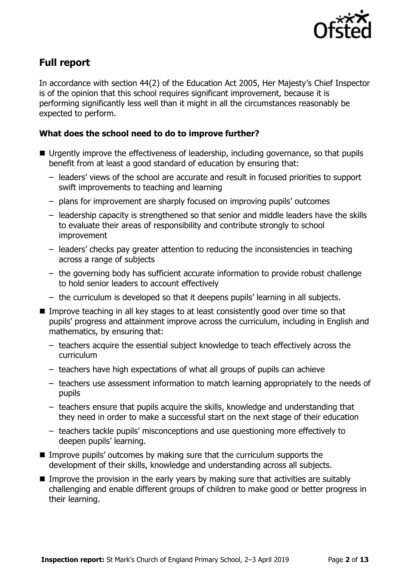

# **Full report**

In accordance with section 44(2) of the Education Act 2005, Her Majesty's Chief Inspector is of the opinion that this school requires significant improvement, because it is performing significantly less well than it might in all the circumstances reasonably be expected to perform.

### **What does the school need to do to improve further?**

- Urgently improve the effectiveness of leadership, including governance, so that pupils benefit from at least a good standard of education by ensuring that:
	- leaders' views of the school are accurate and result in focused priorities to support swift improvements to teaching and learning
	- plans for improvement are sharply focused on improving pupils' outcomes
	- leadership capacity is strengthened so that senior and middle leaders have the skills to evaluate their areas of responsibility and contribute strongly to school improvement
	- leaders' checks pay greater attention to reducing the inconsistencies in teaching across a range of subjects
	- the governing body has sufficient accurate information to provide robust challenge to hold senior leaders to account effectively
	- the curriculum is developed so that it deepens pupils' learning in all subjects.
- Improve teaching in all key stages to at least consistently good over time so that pupils' progress and attainment improve across the curriculum, including in English and mathematics, by ensuring that:
	- teachers acquire the essential subject knowledge to teach effectively across the curriculum
	- teachers have high expectations of what all groups of pupils can achieve
	- teachers use assessment information to match learning appropriately to the needs of pupils
	- teachers ensure that pupils acquire the skills, knowledge and understanding that they need in order to make a successful start on the next stage of their education
	- teachers tackle pupils' misconceptions and use questioning more effectively to deepen pupils' learning.
- $\blacksquare$  Improve pupils' outcomes by making sure that the curriculum supports the development of their skills, knowledge and understanding across all subjects.
- Improve the provision in the early years by making sure that activities are suitably challenging and enable different groups of children to make good or better progress in their learning.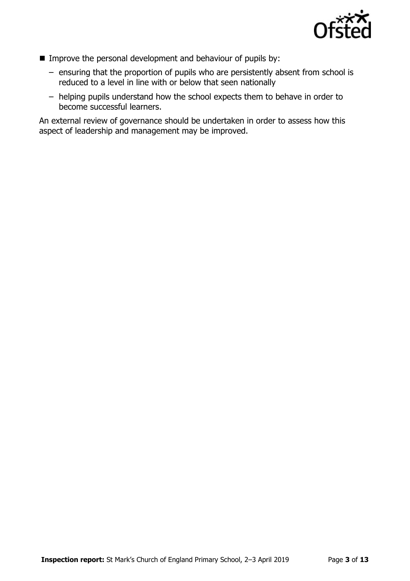

- **IMPROVE THE PERSONAL DEVELOPMENT AND DEVICE THE IMPROVE THE IMPROVEMENT IMPROVEMENT IMPROVEMENT IMPROVEM** 
	- ensuring that the proportion of pupils who are persistently absent from school is reduced to a level in line with or below that seen nationally
	- helping pupils understand how the school expects them to behave in order to become successful learners.

An external review of governance should be undertaken in order to assess how this aspect of leadership and management may be improved.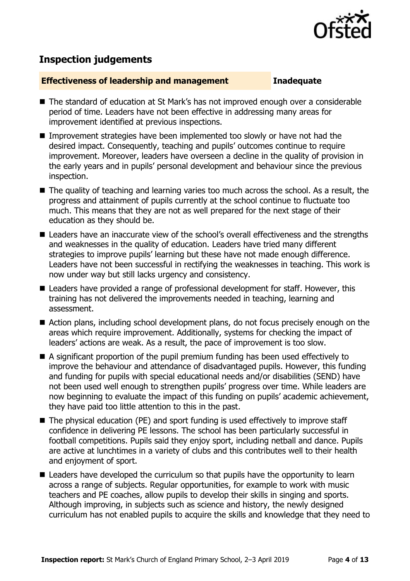

## **Inspection judgements**

#### **Effectiveness of leadership and management Inadequate**

- The standard of education at St Mark's has not improved enough over a considerable period of time. Leaders have not been effective in addressing many areas for improvement identified at previous inspections.
- Improvement strategies have been implemented too slowly or have not had the desired impact. Consequently, teaching and pupils' outcomes continue to require improvement. Moreover, leaders have overseen a decline in the quality of provision in the early years and in pupils' personal development and behaviour since the previous inspection.
- The quality of teaching and learning varies too much across the school. As a result, the progress and attainment of pupils currently at the school continue to fluctuate too much. This means that they are not as well prepared for the next stage of their education as they should be.
- Leaders have an inaccurate view of the school's overall effectiveness and the strengths and weaknesses in the quality of education. Leaders have tried many different strategies to improve pupils' learning but these have not made enough difference. Leaders have not been successful in rectifying the weaknesses in teaching. This work is now under way but still lacks urgency and consistency.
- Leaders have provided a range of professional development for staff. However, this training has not delivered the improvements needed in teaching, learning and assessment.
- Action plans, including school development plans, do not focus precisely enough on the areas which require improvement. Additionally, systems for checking the impact of leaders' actions are weak. As a result, the pace of improvement is too slow.
- A significant proportion of the pupil premium funding has been used effectively to improve the behaviour and attendance of disadvantaged pupils. However, this funding and funding for pupils with special educational needs and/or disabilities (SEND) have not been used well enough to strengthen pupils' progress over time. While leaders are now beginning to evaluate the impact of this funding on pupils' academic achievement, they have paid too little attention to this in the past.
- The physical education (PE) and sport funding is used effectively to improve staff confidence in delivering PE lessons. The school has been particularly successful in football competitions. Pupils said they enjoy sport, including netball and dance. Pupils are active at lunchtimes in a variety of clubs and this contributes well to their health and enjoyment of sport.
- Leaders have developed the curriculum so that pupils have the opportunity to learn across a range of subjects. Regular opportunities, for example to work with music teachers and PE coaches, allow pupils to develop their skills in singing and sports. Although improving, in subjects such as science and history, the newly designed curriculum has not enabled pupils to acquire the skills and knowledge that they need to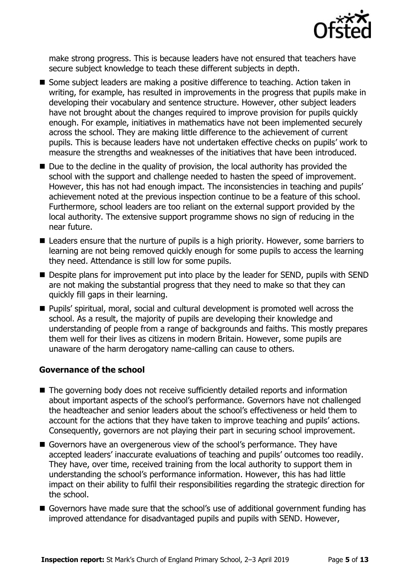

make strong progress. This is because leaders have not ensured that teachers have secure subject knowledge to teach these different subjects in depth.

- Some subject leaders are making a positive difference to teaching. Action taken in writing, for example, has resulted in improvements in the progress that pupils make in developing their vocabulary and sentence structure. However, other subject leaders have not brought about the changes required to improve provision for pupils quickly enough. For example, initiatives in mathematics have not been implemented securely across the school. They are making little difference to the achievement of current pupils. This is because leaders have not undertaken effective checks on pupils' work to measure the strengths and weaknesses of the initiatives that have been introduced.
- $\blacksquare$  Due to the decline in the quality of provision, the local authority has provided the school with the support and challenge needed to hasten the speed of improvement. However, this has not had enough impact. The inconsistencies in teaching and pupils' achievement noted at the previous inspection continue to be a feature of this school. Furthermore, school leaders are too reliant on the external support provided by the local authority. The extensive support programme shows no sign of reducing in the near future.
- Leaders ensure that the nurture of pupils is a high priority. However, some barriers to learning are not being removed quickly enough for some pupils to access the learning they need. Attendance is still low for some pupils.
- Despite plans for improvement put into place by the leader for SEND, pupils with SEND are not making the substantial progress that they need to make so that they can quickly fill gaps in their learning.
- **Pupils' spiritual, moral, social and cultural development is promoted well across the** school. As a result, the majority of pupils are developing their knowledge and understanding of people from a range of backgrounds and faiths. This mostly prepares them well for their lives as citizens in modern Britain. However, some pupils are unaware of the harm derogatory name-calling can cause to others.

### **Governance of the school**

- The governing body does not receive sufficiently detailed reports and information about important aspects of the school's performance. Governors have not challenged the headteacher and senior leaders about the school's effectiveness or held them to account for the actions that they have taken to improve teaching and pupils' actions. Consequently, governors are not playing their part in securing school improvement.
- Governors have an overgenerous view of the school's performance. They have accepted leaders' inaccurate evaluations of teaching and pupils' outcomes too readily. They have, over time, received training from the local authority to support them in understanding the school's performance information. However, this has had little impact on their ability to fulfil their responsibilities regarding the strategic direction for the school.
- Governors have made sure that the school's use of additional government funding has improved attendance for disadvantaged pupils and pupils with SEND. However,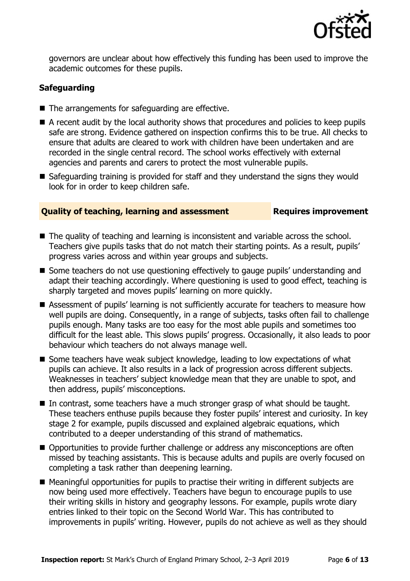

governors are unclear about how effectively this funding has been used to improve the academic outcomes for these pupils.

### **Safeguarding**

- The arrangements for safeguarding are effective.
- A recent audit by the local authority shows that procedures and policies to keep pupils safe are strong. Evidence gathered on inspection confirms this to be true. All checks to ensure that adults are cleared to work with children have been undertaken and are recorded in the single central record. The school works effectively with external agencies and parents and carers to protect the most vulnerable pupils.
- Safeguarding training is provided for staff and they understand the signs they would look for in order to keep children safe.

#### **Quality of teaching, learning and assessment Requires improvement**

- The quality of teaching and learning is inconsistent and variable across the school. Teachers give pupils tasks that do not match their starting points. As a result, pupils' progress varies across and within year groups and subjects.
- Some teachers do not use questioning effectively to gauge pupils' understanding and adapt their teaching accordingly. Where questioning is used to good effect, teaching is sharply targeted and moves pupils' learning on more quickly.
- Assessment of pupils' learning is not sufficiently accurate for teachers to measure how well pupils are doing. Consequently, in a range of subjects, tasks often fail to challenge pupils enough. Many tasks are too easy for the most able pupils and sometimes too difficult for the least able. This slows pupils' progress. Occasionally, it also leads to poor behaviour which teachers do not always manage well.
- Some teachers have weak subject knowledge, leading to low expectations of what pupils can achieve. It also results in a lack of progression across different subjects. Weaknesses in teachers' subject knowledge mean that they are unable to spot, and then address, pupils' misconceptions.
- In contrast, some teachers have a much stronger grasp of what should be taught. These teachers enthuse pupils because they foster pupils' interest and curiosity. In key stage 2 for example, pupils discussed and explained algebraic equations, which contributed to a deeper understanding of this strand of mathematics.
- Opportunities to provide further challenge or address any misconceptions are often missed by teaching assistants. This is because adults and pupils are overly focused on completing a task rather than deepening learning.
- Meaningful opportunities for pupils to practise their writing in different subjects are now being used more effectively. Teachers have begun to encourage pupils to use their writing skills in history and geography lessons. For example, pupils wrote diary entries linked to their topic on the Second World War. This has contributed to improvements in pupils' writing. However, pupils do not achieve as well as they should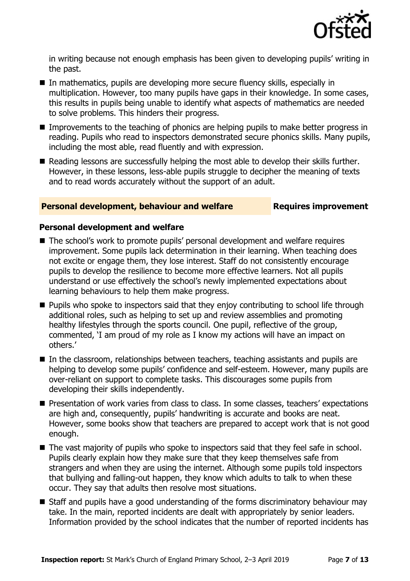

in writing because not enough emphasis has been given to developing pupils' writing in the past.

- In mathematics, pupils are developing more secure fluency skills, especially in multiplication. However, too many pupils have gaps in their knowledge. In some cases, this results in pupils being unable to identify what aspects of mathematics are needed to solve problems. This hinders their progress.
- **IMPROMERTY IMPLE THEORY IS CONTEX IN THE IMPROVEMENTS** In Improvements to the teaching of phonics are lefter progress in reading. Pupils who read to inspectors demonstrated secure phonics skills. Many pupils, including the most able, read fluently and with expression.
- Reading lessons are successfully helping the most able to develop their skills further. However, in these lessons, less-able pupils struggle to decipher the meaning of texts and to read words accurately without the support of an adult.

#### **Personal development, behaviour and welfare <b>Requires improvement**

#### **Personal development and welfare**

- The school's work to promote pupils' personal development and welfare requires improvement. Some pupils lack determination in their learning. When teaching does not excite or engage them, they lose interest. Staff do not consistently encourage pupils to develop the resilience to become more effective learners. Not all pupils understand or use effectively the school's newly implemented expectations about learning behaviours to help them make progress.
- **Pupils who spoke to inspectors said that they enjoy contributing to school life through** additional roles, such as helping to set up and review assemblies and promoting healthy lifestyles through the sports council. One pupil, reflective of the group, commented, 'I am proud of my role as I know my actions will have an impact on others.'
- In the classroom, relationships between teachers, teaching assistants and pupils are helping to develop some pupils' confidence and self-esteem. However, many pupils are over-reliant on support to complete tasks. This discourages some pupils from developing their skills independently.
- **Presentation of work varies from class to class. In some classes, teachers' expectations** are high and, consequently, pupils' handwriting is accurate and books are neat. However, some books show that teachers are prepared to accept work that is not good enough.
- The vast majority of pupils who spoke to inspectors said that they feel safe in school. Pupils clearly explain how they make sure that they keep themselves safe from strangers and when they are using the internet. Although some pupils told inspectors that bullying and falling-out happen, they know which adults to talk to when these occur. They say that adults then resolve most situations.
- Staff and pupils have a good understanding of the forms discriminatory behaviour may take. In the main, reported incidents are dealt with appropriately by senior leaders. Information provided by the school indicates that the number of reported incidents has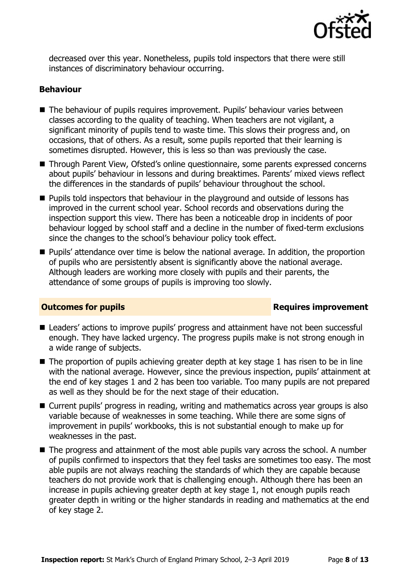

decreased over this year. Nonetheless, pupils told inspectors that there were still instances of discriminatory behaviour occurring.

#### **Behaviour**

- The behaviour of pupils requires improvement. Pupils' behaviour varies between classes according to the quality of teaching. When teachers are not vigilant, a significant minority of pupils tend to waste time. This slows their progress and, on occasions, that of others. As a result, some pupils reported that their learning is sometimes disrupted. However, this is less so than was previously the case.
- Through Parent View, Ofsted's online questionnaire, some parents expressed concerns about pupils' behaviour in lessons and during breaktimes. Parents' mixed views reflect the differences in the standards of pupils' behaviour throughout the school.
- **Pupils told inspectors that behaviour in the playground and outside of lessons has** improved in the current school year. School records and observations during the inspection support this view. There has been a noticeable drop in incidents of poor behaviour logged by school staff and a decline in the number of fixed-term exclusions since the changes to the school's behaviour policy took effect.
- **Pupils'** attendance over time is below the national average. In addition, the proportion of pupils who are persistently absent is significantly above the national average. Although leaders are working more closely with pupils and their parents, the attendance of some groups of pupils is improving too slowly.

### **Outcomes for pupils Requires improvement**

- Leaders' actions to improve pupils' progress and attainment have not been successful enough. They have lacked urgency. The progress pupils make is not strong enough in a wide range of subjects.
- $\blacksquare$  The proportion of pupils achieving greater depth at key stage 1 has risen to be in line with the national average. However, since the previous inspection, pupils' attainment at the end of key stages 1 and 2 has been too variable. Too many pupils are not prepared as well as they should be for the next stage of their education.
- Current pupils' progress in reading, writing and mathematics across year groups is also variable because of weaknesses in some teaching. While there are some signs of improvement in pupils' workbooks, this is not substantial enough to make up for weaknesses in the past.
- The progress and attainment of the most able pupils vary across the school. A number of pupils confirmed to inspectors that they feel tasks are sometimes too easy. The most able pupils are not always reaching the standards of which they are capable because teachers do not provide work that is challenging enough. Although there has been an increase in pupils achieving greater depth at key stage 1, not enough pupils reach greater depth in writing or the higher standards in reading and mathematics at the end of key stage 2.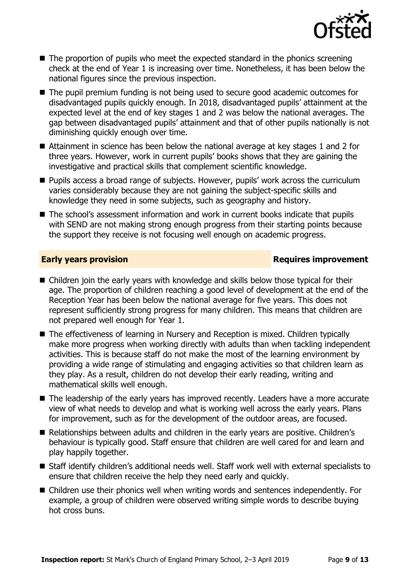

- $\blacksquare$  The proportion of pupils who meet the expected standard in the phonics screening check at the end of Year 1 is increasing over time. Nonetheless, it has been below the national figures since the previous inspection.
- The pupil premium funding is not being used to secure good academic outcomes for disadvantaged pupils quickly enough. In 2018, disadvantaged pupils' attainment at the expected level at the end of key stages 1 and 2 was below the national averages. The gap between disadvantaged pupils' attainment and that of other pupils nationally is not diminishing quickly enough over time.
- Attainment in science has been below the national average at key stages 1 and 2 for three years. However, work in current pupils' books shows that they are gaining the investigative and practical skills that complement scientific knowledge.
- Pupils access a broad range of subiects. However, pupils' work across the curriculum varies considerably because they are not gaining the subject-specific skills and knowledge they need in some subjects, such as geography and history.
- The school's assessment information and work in current books indicate that pupils with SEND are not making strong enough progress from their starting points because the support they receive is not focusing well enough on academic progress.

### **Early years provision Requires improvement**

- Children join the early years with knowledge and skills below those typical for their age. The proportion of children reaching a good level of development at the end of the Reception Year has been below the national average for five years. This does not represent sufficiently strong progress for many children. This means that children are not prepared well enough for Year 1.
- The effectiveness of learning in Nursery and Reception is mixed. Children typically make more progress when working directly with adults than when tackling independent activities. This is because staff do not make the most of the learning environment by providing a wide range of stimulating and engaging activities so that children learn as they play. As a result, children do not develop their early reading, writing and mathematical skills well enough.
- The leadership of the early vears has improved recently. Leaders have a more accurate view of what needs to develop and what is working well across the early years. Plans for improvement, such as for the development of the outdoor areas, are focused.
- Relationships between adults and children in the early years are positive. Children's behaviour is typically good. Staff ensure that children are well cared for and learn and play happily together.
- Staff identify children's additional needs well. Staff work well with external specialists to ensure that children receive the help they need early and quickly.
- Children use their phonics well when writing words and sentences independently. For example, a group of children were observed writing simple words to describe buying hot cross buns.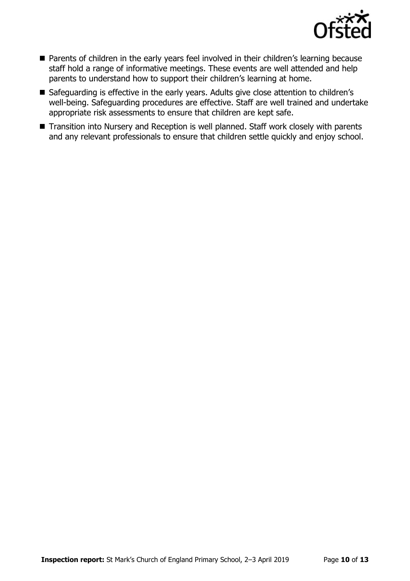

- **Parents of children in the early years feel involved in their children's learning because** staff hold a range of informative meetings. These events are well attended and help parents to understand how to support their children's learning at home.
- Safeguarding is effective in the early years. Adults give close attention to children's well-being. Safeguarding procedures are effective. Staff are well trained and undertake appropriate risk assessments to ensure that children are kept safe.
- Transition into Nursery and Reception is well planned. Staff work closely with parents and any relevant professionals to ensure that children settle quickly and enjoy school.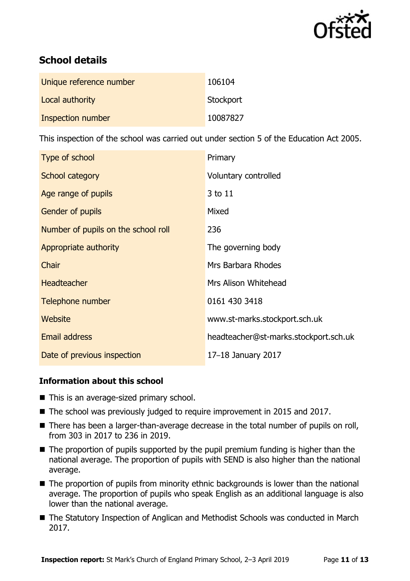

# **School details**

| Unique reference number  | 106104    |
|--------------------------|-----------|
| Local authority          | Stockport |
| <b>Inspection number</b> | 10087827  |

This inspection of the school was carried out under section 5 of the Education Act 2005.

| Type of school                      | Primary                               |
|-------------------------------------|---------------------------------------|
| <b>School category</b>              | Voluntary controlled                  |
| Age range of pupils                 | 3 to 11                               |
| <b>Gender of pupils</b>             | Mixed                                 |
| Number of pupils on the school roll | 236                                   |
| Appropriate authority               | The governing body                    |
| Chair                               | Mrs Barbara Rhodes                    |
| Headteacher                         | Mrs Alison Whitehead                  |
| Telephone number                    | 0161 430 3418                         |
| <b>Website</b>                      | www.st-marks.stockport.sch.uk         |
| Email address                       | headteacher@st-marks.stockport.sch.uk |
| Date of previous inspection         | 17-18 January 2017                    |

### **Information about this school**

- This is an average-sized primary school.
- The school was previously judged to require improvement in 2015 and 2017.
- There has been a larger-than-average decrease in the total number of pupils on roll, from 303 in 2017 to 236 in 2019.
- The proportion of pupils supported by the pupil premium funding is higher than the national average. The proportion of pupils with SEND is also higher than the national average.
- The proportion of pupils from minority ethnic backgrounds is lower than the national average. The proportion of pupils who speak English as an additional language is also lower than the national average.
- The Statutory Inspection of Anglican and Methodist Schools was conducted in March 2017.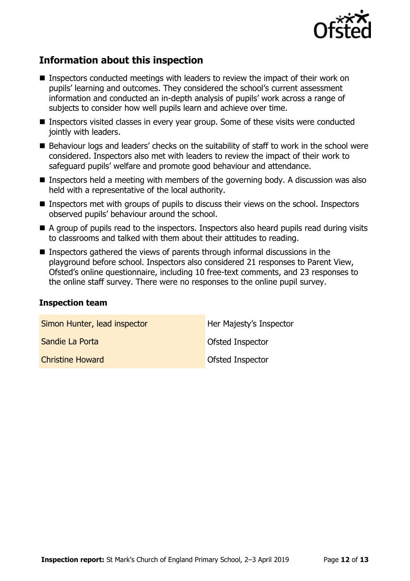

# **Information about this inspection**

- Inspectors conducted meetings with leaders to review the impact of their work on pupils' learning and outcomes. They considered the school's current assessment information and conducted an in-depth analysis of pupils' work across a range of subjects to consider how well pupils learn and achieve over time.
- Inspectors visited classes in every year group. Some of these visits were conducted jointly with leaders.
- Behaviour logs and leaders' checks on the suitability of staff to work in the school were considered. Inspectors also met with leaders to review the impact of their work to safeguard pupils' welfare and promote good behaviour and attendance.
- **Inspectors held a meeting with members of the governing body. A discussion was also** held with a representative of the local authority.
- Inspectors met with groups of pupils to discuss their views on the school. Inspectors observed pupils' behaviour around the school.
- A group of pupils read to the inspectors. Inspectors also heard pupils read during visits to classrooms and talked with them about their attitudes to reading.
- Inspectors gathered the views of parents through informal discussions in the playground before school. Inspectors also considered 21 responses to Parent View, Ofsted's online questionnaire, including 10 free-text comments, and 23 responses to the online staff survey. There were no responses to the online pupil survey.

#### **Inspection team**

| Simon Hunter, lead inspector | Her Majesty's Inspector |
|------------------------------|-------------------------|
| Sandie La Porta              | <b>Ofsted Inspector</b> |
| <b>Christine Howard</b>      | <b>Ofsted Inspector</b> |